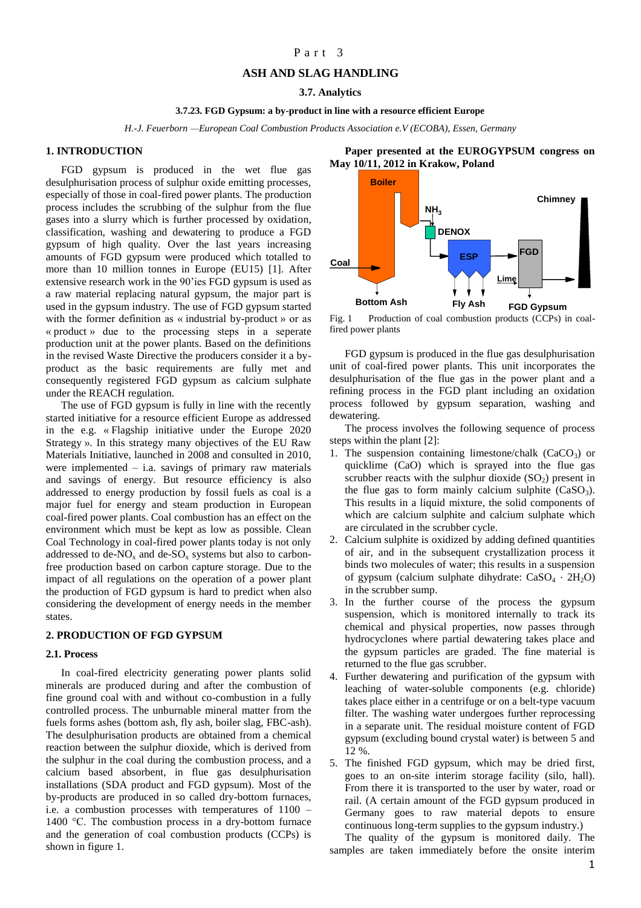# Part 3

# **ASH AND SLAG HANDLING**

#### **3.7. Analytics**

### **3.7.23. FGD Gypsum: a by-product in line with a resource efficient Europe**

*H.-J. Feuerborn —European Coal Combustion Products Association e.V (ECOBA), Essen, Germany*

# **1. INTRODUCTION**

FGD gypsum is produced in the wet flue gas desulphurisation process of sulphur oxide emitting processes, especially of those in coal-fired power plants. The production process includes the scrubbing of the sulphur from the flue gases into a slurry which is further processed by oxidation, classification, washing and dewatering to produce a FGD gypsum of high quality. Over the last years increasing amounts of FGD gypsum were produced which totalled to more than 10 million tonnes in Europe (EU15) [1]. After extensive research work in the 90'ies FGD gypsum is used as a raw material replacing natural gypsum, the major part is used in the gypsum industry. The use of FGD gypsum started with the former definition as « industrial by-product » or as « product » due to the processing steps in a seperate production unit at the power plants. Based on the definitions in the revised Waste Directive the producers consider it a byproduct as the basic requirements are fully met and consequently registered FGD gypsum as calcium sulphate under the REACH regulation.

The use of FGD gypsum is fully in line with the recently started initiative for a resource efficient Europe as addressed in the e.g. « Flagship initiative under the Europe 2020 Strategy ». In this strategy many objectives of the EU Raw Materials Initiative, launched in 2008 and consulted in 2010, were implemented  $-$  i.a. savings of primary raw materials and savings of energy. But resource efficiency is also addressed to energy production by fossil fuels as coal is a major fuel for energy and steam production in European coal-fired power plants. Coal combustion has an effect on the environment which must be kept as low as possible. Clean Coal Technology in coal-fired power plants today is not only addressed to de- $NO<sub>x</sub>$  and de- $SO<sub>x</sub>$  systems but also to carbonfree production based on carbon capture storage. Due to the impact of all regulations on the operation of a power plant the production of FGD gypsum is hard to predict when also considering the development of energy needs in the member states.

#### **2. PRODUCTION OF FGD GYPSUM**

# **2.1. Process**

In coal-fired electricity generating power plants solid minerals are produced during and after the combustion of fine ground coal with and without co-combustion in a fully controlled process. The unburnable mineral matter from the fuels forms ashes (bottom ash, fly ash, boiler slag, FBC-ash). The desulphurisation products are obtained from a chemical reaction between the sulphur dioxide, which is derived from the sulphur in the coal during the combustion process, and a calcium based absorbent, in flue gas desulphurisation installations (SDA product and FGD gypsum). Most of the by-products are produced in so called dry-bottom furnaces, i.e. a combustion processes with temperatures of 1100 – 1400 °C. The combustion process in a dry-bottom furnace and the generation of coal combustion products (CCPs) is shown in figure 1.

**Bottom Ash Coal Boiler FGD Fly Ash ESP DENOX FGD Gypsum Chimney Lime**  $NH<sub>3</sub>$ 

**Paper presented at the EUROGYPSUM congress on** 

**May 10/11, 2012 in Krakow, Poland**

Fig. 1 Production of coal combustion products (CCPs) in coalfired power plants

FGD gypsum is produced in the flue gas desulphurisation unit of coal-fired power plants. This unit incorporates the desulphurisation of the flue gas in the power plant and a refining process in the FGD plant including an oxidation process followed by gypsum separation, washing and dewatering.

The process involves the following sequence of process steps within the plant [2]:

- 1. The suspension containing limestone/chalk  $(CaCO<sub>3</sub>)$  or quicklime (CaO) which is sprayed into the flue gas scrubber reacts with the sulphur dioxide  $(SO<sub>2</sub>)$  present in the flue gas to form mainly calcium sulphite  $(CaSO<sub>3</sub>)$ . This results in a liquid mixture, the solid components of which are calcium sulphite and calcium sulphate which are circulated in the scrubber cycle.
- 2. Calcium sulphite is oxidized by adding defined quantities of air, and in the subsequent crystallization process it binds two molecules of water; this results in a suspension of gypsum (calcium sulphate dihydrate:  $CaSO<sub>4</sub> \cdot 2H<sub>2</sub>O$ ) in the scrubber sump.
- 3. In the further course of the process the gypsum suspension, which is monitored internally to track its chemical and physical properties, now passes through hydrocyclones where partial dewatering takes place and the gypsum particles are graded. The fine material is returned to the flue gas scrubber.
- 4. Further dewatering and purification of the gypsum with leaching of water-soluble components (e.g. chloride) takes place either in a centrifuge or on a belt-type vacuum filter. The washing water undergoes further reprocessing in a separate unit. The residual moisture content of FGD gypsum (excluding bound crystal water) is between 5 and 12 %.
- 5. The finished FGD gypsum, which may be dried first, goes to an on-site interim storage facility (silo, hall). From there it is transported to the user by water, road or rail. (A certain amount of the FGD gypsum produced in Germany goes to raw material depots to ensure continuous long-term supplies to the gypsum industry.)

The quality of the gypsum is monitored daily. The samples are taken immediately before the onsite interim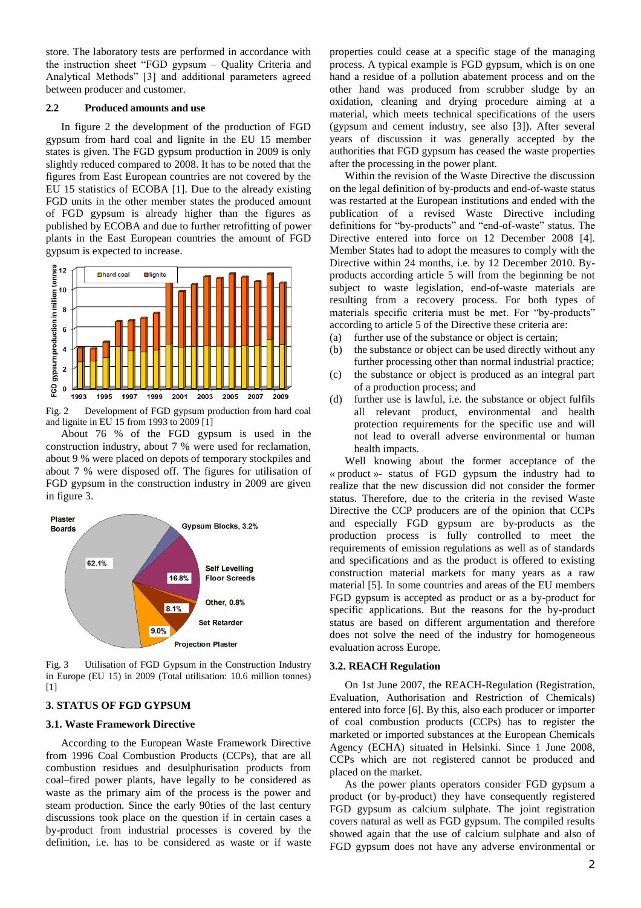store. The laboratory tests are performed in accordance with the instruction sheet "FGD gypsum – Quality Criteria and Analytical Methods" [3] and additional parameters agreed between producer and customer.

## **2.2 Produced amounts and use**

In figure 2 the development of the production of FGD gypsum from hard coal and lignite in the EU 15 member states is given. The FGD gypsum production in 2009 is only slightly reduced compared to 2008. It has to be noted that the figures from East European countries are not covered by the EU 15 statistics of ECOBA [1]. Due to the already existing FGD units in the other member states the produced amount of FGD gypsum is already higher than the figures as published by ECOBA and due to further retrofitting of power plants in the East European countries the amount of FGD gypsum is expected to increase.



Fig. 2 Development of FGD gypsum production from hard coal and lignite in EU 15 from 1993 to 2009 [1]

About 76 % of the FGD gypsum is used in the construction industry, about 7 % were used for reclamation, about 9 % were placed on depots of temporary stockpiles and about 7 % were disposed off. The figures for utilisation of FGD gypsum in the construction industry in 2009 are given in figure 3.



Fig. 3 Utilisation of FGD Gypsum in the Construction Industry in Europe (EU 15) in 2009 (Total utilisation: 10.6 million tonnes) [1]

# **3. STATUS OF FGD GYPSUM**

#### **3.1. Waste Framework Directive**

According to the European Waste Framework Directive from 1996 Coal Combustion Products (CCPs), that are all combustion residues and desulphurisation products from coal–fired power plants, have legally to be considered as waste as the primary aim of the process is the power and steam production. Since the early 90ties of the last century discussions took place on the question if in certain cases a by-product from industrial processes is covered by the definition, i.e. has to be considered as waste or if waste properties could cease at a specific stage of the managing process. A typical example is FGD gypsum, which is on one hand a residue of a pollution abatement process and on the other hand was produced from scrubber sludge by an oxidation, cleaning and drying procedure aiming at a material, which meets technical specifications of the users (gypsum and cement industry, see also [3]). After several years of discussion it was generally accepted by the authorities that FGD gypsum has ceased the waste properties after the processing in the power plant.

Within the revision of the Waste Directive the discussion on the legal definition of by-products and end-of-waste status was restarted at the European institutions and ended with the publication of a revised Waste Directive including definitions for "by-products" and "end-of-waste" status. The Directive entered into force on 12 December 2008 [4]. Member States had to adopt the measures to comply with the Directive within 24 months, i.e. by 12 December 2010. Byproducts according article 5 will from the beginning be not subject to waste legislation, end-of-waste materials are resulting from a recovery process. For both types of materials specific criteria must be met. For "by-products" according to article 5 of the Directive these criteria are:

- (a) further use of the substance or object is certain;
- (b) the substance or object can be used directly without any further processing other than normal industrial practice;
- (c) the substance or object is produced as an integral part of a production process; and
- (d) further use is lawful, i.e. the substance or object fulfils all relevant product, environmental and health protection requirements for the specific use and will not lead to overall adverse environmental or human health impacts.

Well knowing about the former acceptance of the « product »- status of FGD gypsum the industry had to realize that the new discussion did not consider the former status. Therefore, due to the criteria in the revised Waste Directive the CCP producers are of the opinion that CCPs and especially FGD gypsum are by-products as the production process is fully controlled to meet the requirements of emission regulations as well as of standards and specifications and as the product is offered to existing construction material markets for many years as a raw material [5]. In some countries and areas of the EU members FGD gypsum is accepted as product or as a by-product for specific applications. But the reasons for the by-product status are based on different argumentation and therefore does not solve the need of the industry for homogeneous evaluation across Europe.

### **3.2. REACH Regulation**

On 1st June 2007, the REACH-Regulation (Registration, Evaluation, Authorisation and Restriction of Chemicals) entered into force [6]. By this, also each producer or importer of coal combustion products (CCPs) has to register the marketed or imported substances at the European Chemicals Agency (ECHA) situated in Helsinki. Since 1 June 2008, CCPs which are not registered cannot be produced and placed on the market.

As the power plants operators consider FGD gypsum a product (or by-product) they have consequently registered FGD gypsum as calcium sulphate. The joint registration covers natural as well as FGD gypsum. The compiled results showed again that the use of calcium sulphate and also of FGD gypsum does not have any adverse environmental or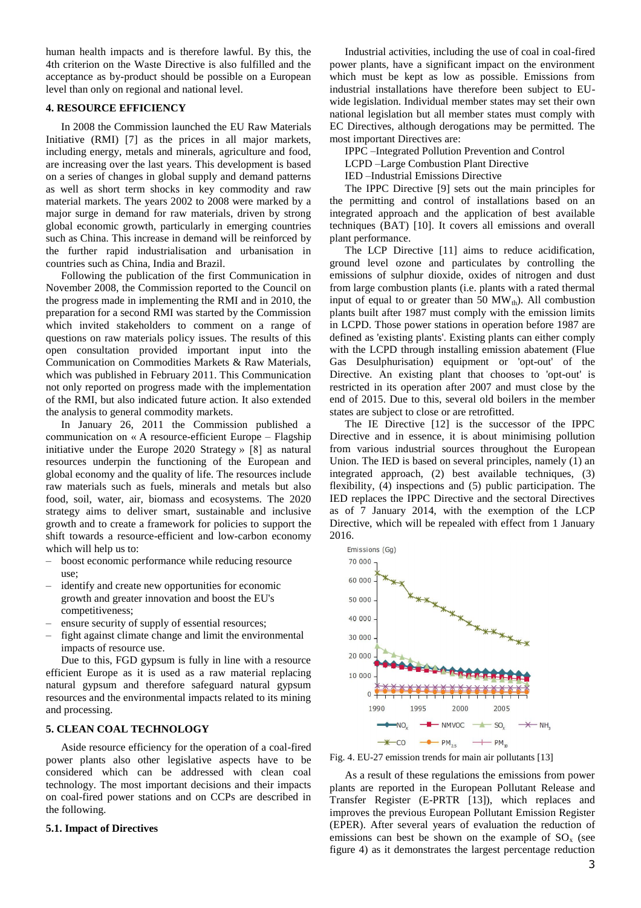human health impacts and is therefore lawful. By this, the 4th criterion on the Waste Directive is also fulfilled and the acceptance as by-product should be possible on a European level than only on regional and national level.

# **4. RESOURCE EFFICIENCY**

In 2008 the Commission launched the [EU Raw Materials](http://ec.europa.eu/enterprise/policies/raw-materials/index_en.htm)  [Initiative](http://ec.europa.eu/enterprise/policies/raw-materials/index_en.htm) (RMI) [7] as the prices in all major markets, including energy, metals and minerals, agriculture and food, are increasing over the last years. This development is based on a series of changes in global supply and demand patterns as well as short term shocks in key commodity and raw material markets. The years 2002 to 2008 were marked by a major surge in demand for raw materials, driven by strong global economic growth, particularly in emerging countries such as China. This increase in demand will be reinforced by the further rapid industrialisation and urbanisation in countries such as China, India and Brazil.

Following the publication of the first Communication in November 2008, the Commission reported to the Council on the progress made in implementing the RMI and in 2010, the preparation for a second RMI was started by the Commission which invited stakeholders to comment on a range of questions on raw materials policy issues. The results of this open consultation provided important input into the Communication on Commodities Markets & Raw Materials, which was published in February 2011. This Communication not only reported on progress made with the implementation of the RMI, but also indicated future action. It also extended the analysis to general commodity markets.

In January 26, 2011 the Commission published a communication on « A resource-efficient Europe – Flagship initiative under the Europe 2020 Strategy » [8] as natural resources underpin the functioning of the European and global economy and the quality of life. The resources include raw materials such as fuels, minerals and metals but also food, soil, water, air, biomass and ecosystems. The 2020 strategy aims to deliver smart, sustainable and inclusive growth and to create a framework for policies to support the shift towards a resource-efficient and low-carbon economy which will help us to:

- boost economic performance while reducing resource use;
- identify and create new opportunities for economic growth and greater innovation and boost the EU's competitiveness;
- ensure security of supply of essential resources;
- fight against climate change and limit the environmental impacts of resource use.

Due to this, FGD gypsum is fully in line with a resource efficient Europe as it is used as a raw material replacing natural gypsum and therefore safeguard natural gypsum resources and the environmental impacts related to its mining and processing.

# **5. CLEAN COAL TECHNOLOGY**

Aside resource efficiency for the operation of a coal-fired power plants also other legislative aspects have to be considered which can be addressed with clean coal technology. The most important decisions and their impacts on coal-fired power stations and on CCPs are described in the following.

# **5.1. Impact of Directives**

Industrial activities, including the use of coal in coal-fired power plants, have a significant impact on the environment which must be kept as low as possible. Emissions from industrial installations have therefore been subject to EUwide legislation. Individual member states may set their own national legislation but all member states must comply with EC Directives, although derogations may be permitted. The most important Directives are:

IPPC –Integrated Pollution Prevention and Control

LCPD –Large Combustion Plant Directive

IED –Industrial Emissions Directive

The [IPPC Directive](http://ec.europa.eu/environment/air/pollutants/stationary/ippc/summary.htm) [9] sets out the main principles for the permitting and control of installations based on an integrated approach and the application of best available techniques (BAT) [10]. It covers all emissions and overall plant performance.

The LCP Directive [11] aims to reduce acidification, ground level ozone and particulates by controlling the emissions of sulphur dioxide, oxides of nitrogen and dust from large combustion plants (i.e. plants with a rated thermal input of equal to or greater than 50  $MW<sub>th</sub>$ ). All combustion plants built after 1987 must comply with the emission limits in LCPD. Those power stations in operation before 1987 are defined as 'existing plants'. Existing plants can either comply with the LCPD through installing emission abatement (Flue Gas Desulphurisation) equipment or 'opt-out' of the Directive. An existing plant that chooses to 'opt-out' is restricted in its operation after 2007 and must close by the end of 2015. Due to this, several old boilers in the member states are subject to close or are retrofitted.

The IE Directive [12] is the successor of the IPPC Directive and in essence, it is about minimising pollution from various industrial sources throughout the European Union. The IED is based on several principles, namely (1) an integrated approach, (2) best available techniques, (3) flexibility, (4) inspections and (5) public participation. The IED replaces the IPPC Directive and the sectoral Directives as of 7 January 2014, with the exemption of the LCP Directive, which will be repealed with effect from 1 January 2016.



Fig. 4. EU-27 emission trends for main air pollutants [13]

As a result of these regulations the emissions from power plants are reported in the European Pollutant Release and Transfer Register (E-PRTR [13]), which replaces and improves the previous European Pollutant Emission Register (EPER). After several years of evaluation the reduction of emissions can best be shown on the example of  $SO<sub>x</sub>$  (see figure 4) as it demonstrates the largest percentage reduction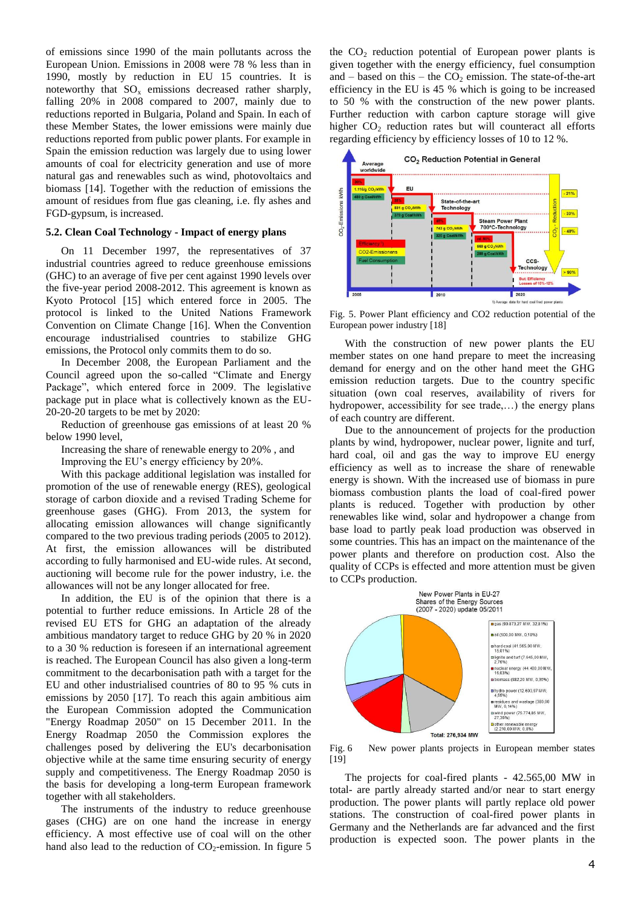of emissions since 1990 of the main pollutants across the European Union. Emissions in 2008 were 78 % less than in 1990, mostly by reduction in EU 15 countries. It is noteworthy that  $SO_x$  emissions decreased rather sharply, falling 20% in 2008 compared to 2007, mainly due to reductions reported in Bulgaria, Poland and Spain. In each of these Member States, the lower emissions were mainly due reductions reported from public power plants. For example in Spain the emission reduction was largely due to using lower amounts of coal for electricity generation and use of more natural gas and renewables such as wind, photovoltaics and biomass [14]. Together with the reduction of emissions the amount of residues from flue gas cleaning, i.e. fly ashes and FGD-gypsum, is increased.

# **5.2. Clean Coal Technology - Impact of energy plans**

On 11 December 1997, the representatives of 37 industrial countries agreed to reduce greenhouse emissions (GHC) to an average of five per cent against 1990 levels over the five-year period 2008-2012. This agreement is known as Kyoto Protocol [15] which entered force in 2005. The protocol is linked to the United Nations Framework Convention on Climate Change [16]. When the Convention encourage industrialised countries to stabilize GHG emissions, the Protocol only commits them to do so.

In December 2008, the European Parliament and the Council agreed upon the so-called "Climate and Energy Package", which entered force in 2009. The legislative package put in place what is collectively known as the EU-20-20-20 targets to be met by 2020:

Reduction of greenhouse gas emissions of at least 20 % below 1990 level,

Increasing the share of renewable energy to 20% , and

Improving the EU's energy efficiency by 20%.

With this package additional legislation was installed for promotion of the use of renewable energy (RES), geological storage of carbon dioxide and a revised Trading Scheme for greenhouse gases (GHG). From 2013, the system for allocating emission allowances will change significantly compared to the two previous trading periods (2005 to 2012). At first, the emission allowances will be distributed according to fully harmonised and EU-wide rules. At second, auctioning will become rule for the power industry, i.e. the allowances will not be any longer allocated for free.

In addition, the EU is of the opinion that there is a potential to further reduce emissions. In Article 28 of the revised EU ETS for GHG an adaptation of the already ambitious mandatory target to reduce GHG by 20 % in 2020 to a 30 % reduction is foreseen if an international agreement is reached. The European Council has also given a long-term commitment to the decarbonisation path with a target for the EU and other industrialised countries of 80 to 95 % cuts in emissions by 2050 [17]. To reach this again ambitious aim the European Commission adopted the [Communication](http://ec.europa.eu/energy/energy2020/roadmap/doc/com_2011_8852_en.pdf)  ["Energy Roadmap 2050"](http://ec.europa.eu/energy/energy2020/roadmap/doc/com_2011_8852_en.pdf) on 15 December 2011. In the Energy Roadmap 2050 the Commission explores the challenges posed by delivering the EU's decarbonisation objective while at the same time ensuring security of energy supply and competitiveness. The Energy Roadmap 2050 is the basis for developing a long-term European framework together with all stakeholders.

The instruments of the industry to reduce greenhouse gases (CHG) are on one hand the increase in energy efficiency. A most effective use of coal will on the other hand also lead to the reduction of  $CO_2$ -emission. In figure 5 the  $CO<sub>2</sub>$  reduction potential of European power plants is given together with the energy efficiency, fuel consumption and – based on this – the  $CO<sub>2</sub>$  emission. The state-of-the-art efficiency in the EU is 45 % which is going to be increased to 50 % with the construction of the new power plants. Further reduction with carbon capture storage will give higher  $CO<sub>2</sub>$  reduction rates but will counteract all efforts regarding efficiency by efficiency losses of 10 to 12 %.



Fig. 5. Power Plant efficiency and CO2 reduction potential of the European power industry [18]

With the construction of new power plants the EU member states on one hand prepare to meet the increasing demand for energy and on the other hand meet the GHG emission reduction targets. Due to the country specific situation (own coal reserves, availability of rivers for hydropower, accessibility for see trade,...) the energy plans of each country are different.

Due to the announcement of projects for the production plants by wind, hydropower, nuclear power, lignite and turf, hard coal, oil and gas the way to improve EU energy efficiency as well as to increase the share of renewable energy is shown. With the increased use of biomass in pure biomass combustion plants the load of coal-fired power plants is reduced. Together with production by other renewables like wind, solar and hydropower a change from base load to partly peak load production was observed in some countries. This has an impact on the maintenance of the power plants and therefore on production cost. Also the quality of CCPs is effected and more attention must be given to CCPs production.



Fig. 6 New power plants projects in European member states [19]

The projects for coal-fired plants - 42.565,00 MW in total- are partly already started and/or near to start energy production. The power plants will partly replace old power stations. The construction of coal-fired power plants in Germany and the Netherlands are far advanced and the first production is expected soon. The power plants in the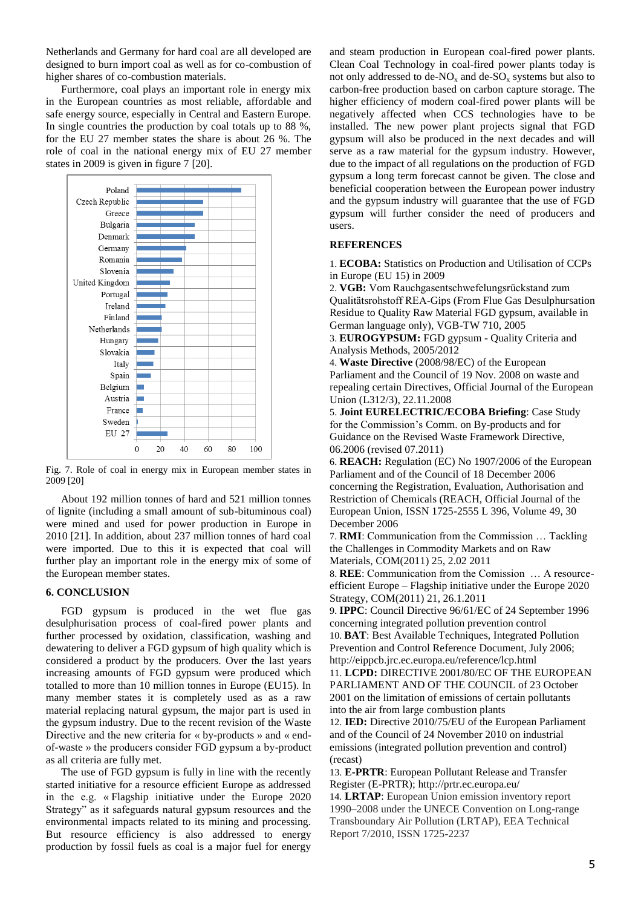Netherlands and Germany for hard coal are all developed are designed to burn import coal as well as for co-combustion of higher shares of co-combustion materials.

Furthermore, coal plays an important role in energy mix in the European countries as most reliable, affordable and safe energy source, especially in Central and Eastern Europe. In single countries the production by coal totals up to 88 %, for the EU 27 member states the share is about 26 %. The role of coal in the national energy mix of EU 27 member states in 2009 is given in figure 7 [20].



Fig. 7. Role of coal in energy mix in European member states in 2009 [20]

About 192 million tonnes of hard and 521 million tonnes of lignite (including a small amount of sub-bituminous coal) were mined and used for power production in Europe in 2010 [21]. In addition, about 237 million tonnes of hard coal were imported. Due to this it is expected that coal will further play an important role in the energy mix of some of the European member states.

#### **6. CONCLUSION**

FGD gypsum is produced in the wet flue gas desulphurisation process of coal-fired power plants and further processed by oxidation, classification, washing and dewatering to deliver a FGD gypsum of high quality which is considered a product by the producers. Over the last years increasing amounts of FGD gypsum were produced which totalled to more than 10 million tonnes in Europe (EU15). In many member states it is completely used as as a raw material replacing natural gypsum, the major part is used in the gypsum industry. Due to the recent revision of the Waste Directive and the new criteria for « by-products » and « endof-waste » the producers consider FGD gypsum a by-product as all criteria are fully met.

The use of FGD gypsum is fully in line with the recently started initiative for a resource efficient Europe as addressed in the e.g. « Flagship initiative under the Europe 2020 Strategy" as it safeguards natural gypsum resources and the environmental impacts related to its mining and processing. But resource efficiency is also addressed to energy production by fossil fuels as coal is a major fuel for energy

and steam production in European coal-fired power plants. Clean Coal Technology in coal-fired power plants today is not only addressed to de- $NO<sub>x</sub>$  and de- $SO<sub>x</sub>$  systems but also to carbon-free production based on carbon capture storage. The higher efficiency of modern coal-fired power plants will be negatively affected when CCS technologies have to be installed. The new power plant projects signal that FGD gypsum will also be produced in the next decades and will serve as a raw material for the gypsum industry. However, due to the impact of all regulations on the production of FGD gypsum a long term forecast cannot be given. The close and beneficial cooperation between the European power industry and the gypsum industry will guarantee that the use of FGD gypsum will further consider the need of producers and users.

## **REFERENCES**

1. **ECOBA:** Statistics on Production and Utilisation of CCPs in Europe (EU 15) in 2009

2. **VGB:** Vom Rauchgasentschwefelungsrückstand zum Qualitätsrohstoff REA-Gips (From Flue Gas Desulphursation Residue to Quality Raw Material FGD gypsum, available in German language only), VGB-TW 710, 2005

3. **EUROGYPSUM:** FGD gypsum - Quality Criteria and Analysis Methods, 2005/2012

4. **Waste Directive** (2008/98/EC) of the European Parliament and the Council of 19 Nov. 2008 on waste and repealing certain Directives, Official Journal of the European Union (L312/3), 22.11.2008

5. **Joint EURELECTRIC/ECOBA Briefing**: Case Study for the Commission's Comm. on By-products and for Guidance on the Revised Waste Framework Directive, 06.2006 (revised 07.2011)

6. **REACH:** Regulation (EC) No 1907/2006 of the European Parliament and of the Council of 18 December 2006 concerning the Registration, Evaluation, Authorisation and Restriction of Chemicals (REACH, Official Journal of the European Union, ISSN 1725-2555 L 396, Volume 49, 30 December 2006

7. **RMI**: Communication from the Commission … Tackling the Challenges in Commodity Markets and on Raw Materials, COM(2011) 25, 2.02 2011

8. **REE**: Communication from the Comission … A resourceefficient Europe – Flagship initiative under the Europe 2020 Strategy, COM(2011) 21, 26.1.2011

9. **IPPC**: Council Directive 96/61/EC of 24 September 1996 concerning integrated pollution prevention control 10. **BAT**: Best Available Techniques, Integrated Pollution

Prevention and Control Reference Document, July 2006; http://eippcb.jrc.ec.europa.eu/reference/lcp.html

11. **LCPD:** DIRECTIVE 2001/80/EC OF THE EUROPEAN PARLIAMENT AND OF THE COUNCIL of 23 October 2001 on the limitation of emissions of certain pollutants into the air from large combustion plants

12. **IED:** Directive 2010/75/EU of the European Parliament and of the Council of 24 November 2010 on industrial emissions (integrated pollution prevention and control) (recast)

13. **E-PRTR**: European Pollutant Release and Transfer Register (E-PRTR); http://prtr.ec.europa.eu/

14. **LRTAP**: European Union emission inventory report 1990–2008 under the UNECE Convention on Long-range Transboundary Air Pollution (LRTAP), EEA Technical Report 7/2010, ISSN 1725-2237